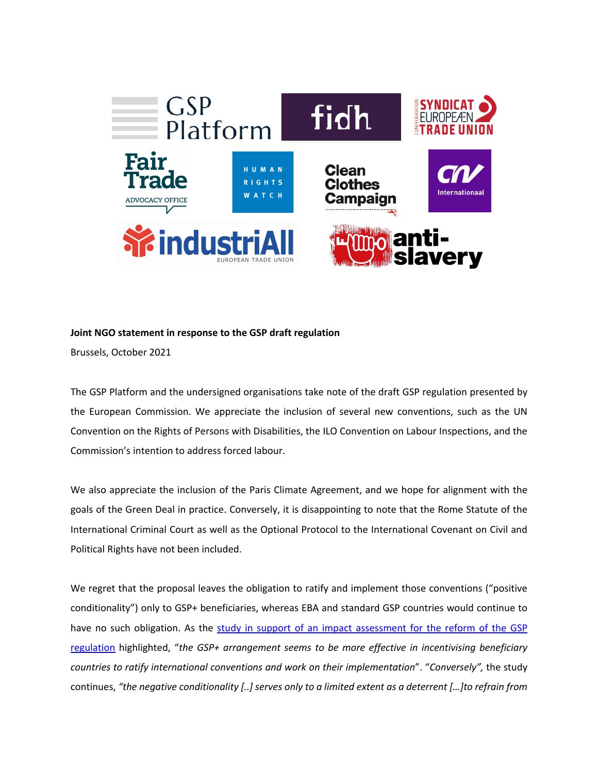

## **Joint NGO statement in response to the GSP draft regulation**

Brussels, October 2021

The GSP Platform and the undersigned organisations take note of the draft GSP regulation presented by the European Commission. We appreciate the inclusion of several new conventions, such as the UN Convention on the Rights of Persons with Disabilities, the ILO Convention on Labour Inspections, and the Commission's intention to address forced labour.

We also appreciate the inclusion of the Paris Climate Agreement, and we hope for alignment with the goals of the Green Deal in practice. Conversely, it is disappointing to note that the Rome Statute of the International Criminal Court as well as the Optional Protocol to the International Covenant on Civil and Political Rights have not been included.

We regret that the proposal leaves the obligation to ratify and implement those conventions ("positive conditionality") only to GSP+ beneficiaries, whereas EBA and standard GSP countries would continue to have no such obligation. As the study in support of an impact assessment for the reform of the GSP regulation highlighted, "*the GSP+ arrangement seems to be more effective in incentivising beneficiary countries to ratify international conventions and work on their implementation*". "*Conversely",* the study continues, *"the negative conditionality [..] serves only to a limited extent as a deterrent […]to refrain from*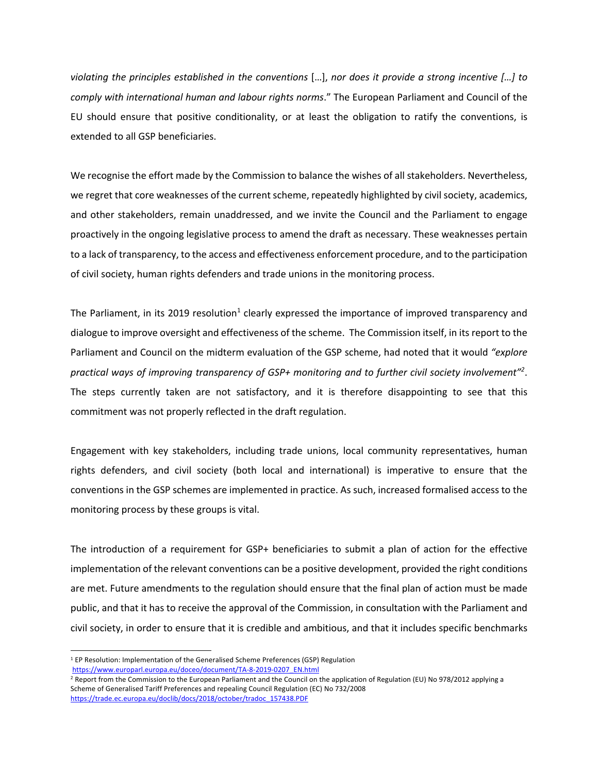*violating the principles established in the conventions* […], *nor does it provide a strong incentive […] to comply with international human and labour rights norms*." The European Parliament and Council of the EU should ensure that positive conditionality, or at least the obligation to ratify the conventions, is extended to all GSP beneficiaries.

We recognise the effort made by the Commission to balance the wishes of all stakeholders. Nevertheless, we regret that core weaknesses of the current scheme, repeatedly highlighted by civil society, academics, and other stakeholders, remain unaddressed, and we invite the Council and the Parliament to engage proactively in the ongoing legislative process to amend the draft as necessary. These weaknesses pertain to a lack of transparency, to the access and effectiveness enforcement procedure, and to the participation of civil society, human rights defenders and trade unions in the monitoring process.

The Parliament, in its 2019 resolution<sup>1</sup> clearly expressed the importance of improved transparency and dialogue to improve oversight and effectiveness of the scheme. The Commission itself, in its report to the Parliament and Council on the midterm evaluation of the GSP scheme, had noted that it would *"explore practical ways of improving transparency of GSP+ monitoring and to further civil society involvement"2* . The steps currently taken are not satisfactory, and it is therefore disappointing to see that this commitment was not properly reflected in the draft regulation.

Engagement with key stakeholders, including trade unions, local community representatives, human rights defenders, and civil society (both local and international) is imperative to ensure that the conventions in the GSP schemes are implemented in practice. As such, increased formalised access to the monitoring process by these groups is vital.

The introduction of a requirement for GSP+ beneficiaries to submit a plan of action for the effective implementation of the relevant conventions can be a positive development, provided the right conditions are met. Future amendments to the regulation should ensure that the final plan of action must be made public, and that it has to receive the approval of the Commission, in consultation with the Parliament and civil society, in order to ensure that it is credible and ambitious, and that it includes specific benchmarks

<sup>&</sup>lt;sup>1</sup> EP Resolution: Implementation of the Generalised Scheme Preferences (GSP) Regulation https://www.europarl.europa.eu/doceo/document/TA-8-2019-0207\_EN.html

<sup>&</sup>lt;sup>2</sup> Report from the Commission to the European Parliament and the Council on the application of Regulation (EU) No 978/2012 applying a Scheme of Generalised Tariff Preferences and repealing Council Regulation (EC) No 732/2008 https://trade.ec.europa.eu/doclib/docs/2018/october/tradoc\_157438.PDF